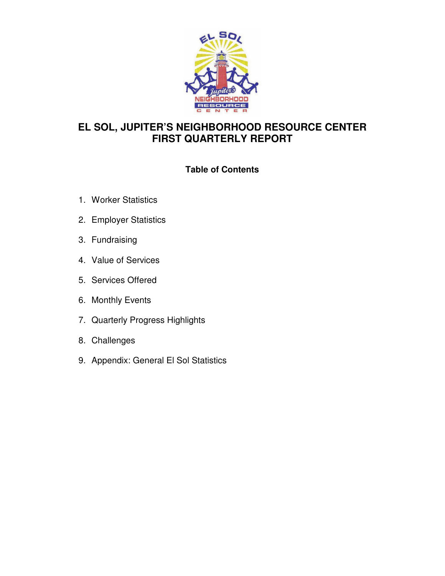

# **EL SOL, JUPITER'S NEIGHBORHOOD RESOURCE CENTER FIRST QUARTERLY REPORT**

# **Table of Contents**

- 1. Worker Statistics
- 2. Employer Statistics
- 3. Fundraising
- 4. Value of Services
- 5. Services Offered
- 6. Monthly Events
- 7. Quarterly Progress Highlights
- 8. Challenges
- 9. Appendix: General El Sol Statistics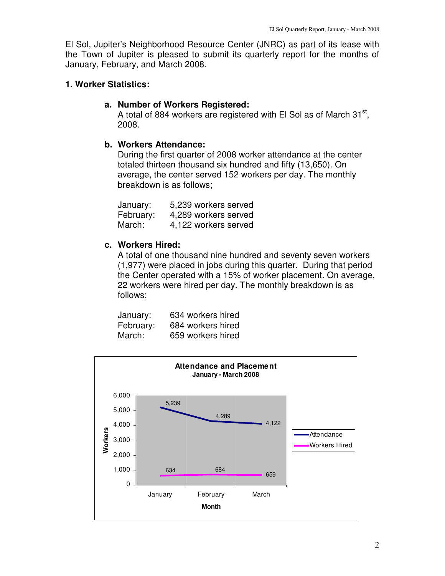El Sol, Jupiter's Neighborhood Resource Center (JNRC) as part of its lease with the Town of Jupiter is pleased to submit its quarterly report for the months of January, February, and March 2008.

### **1. Worker Statistics:**

#### **a. Number of Workers Registered:**

A total of 884 workers are registered with El Sol as of March 31<sup>st</sup>, 2008.

#### **b. Workers Attendance:**

During the first quarter of 2008 worker attendance at the center totaled thirteen thousand six hundred and fifty (13,650). On average, the center served 152 workers per day. The monthly breakdown is as follows;

| January:  | 5,239 workers served |
|-----------|----------------------|
| February: | 4,289 workers served |
| March:    | 4.122 workers served |

# **c. Workers Hired:**

A total of one thousand nine hundred and seventy seven workers (1,977) were placed in jobs during this quarter. During that period the Center operated with a 15% of worker placement. On average, 22 workers were hired per day. The monthly breakdown is as follows;

| January:  | 634 workers hired |
|-----------|-------------------|
| February: | 684 workers hired |
| March:    | 659 workers hired |

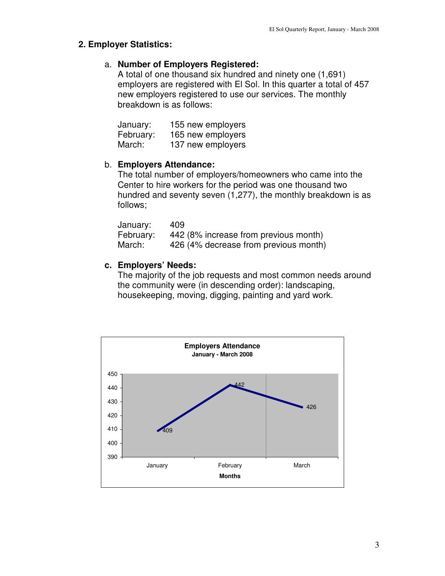### **2. Employer Statistics:**

### a. **Number of Employers Registered:**

A total of one thousand six hundred and ninety one (1,691) employers are registered with El Sol. In this quarter a total of 457 new employers registered to use our services. The monthly breakdown is as follows:

| January:  | 155 new employers |
|-----------|-------------------|
| February: | 165 new employers |
| March:    | 137 new employers |

# b. **Employers Attendance:**

The total number of employers/homeowners who came into the Center to hire workers for the period was one thousand two hundred and seventy seven (1,277), the monthly breakdown is as follows;

| January:  | 409 |                                       |
|-----------|-----|---------------------------------------|
| February: |     | 442 (8% increase from previous month) |
| March:    |     | 426 (4% decrease from previous month) |

# **c. Employers' Needs:**

The majority of the job requests and most common needs around the community were (in descending order): landscaping, housekeeping, moving, digging, painting and yard work.

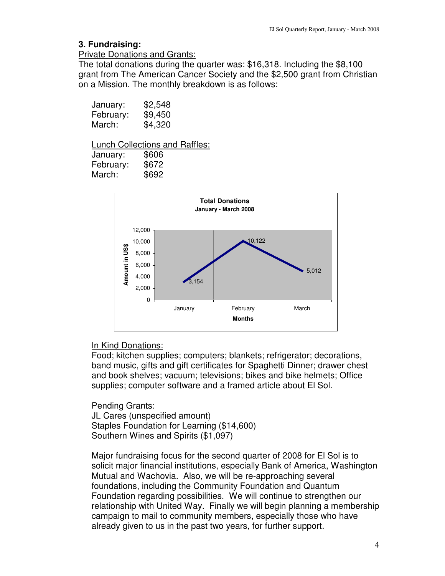### **3. Fundraising:**

#### Private Donations and Grants:

The total donations during the quarter was: \$16,318. Including the \$8,100 grant from The American Cancer Society and the \$2,500 grant from Christian on a Mission. The monthly breakdown is as follows:

| January:  | \$2,548 |
|-----------|---------|
| February: | \$9,450 |
| March:    | \$4,320 |

#### Lunch Collections and Raffles:

| January:  | \$606 |
|-----------|-------|
| February: | \$672 |
| March:    | \$692 |



# In Kind Donations:

Food; kitchen supplies; computers; blankets; refrigerator; decorations, band music, gifts and gift certificates for Spaghetti Dinner; drawer chest and book shelves; vacuum; televisions; bikes and bike helmets; Office supplies; computer software and a framed article about El Sol.

Pending Grants: JL Cares (unspecified amount) Staples Foundation for Learning (\$14,600) Southern Wines and Spirits (\$1,097)

Major fundraising focus for the second quarter of 2008 for El Sol is to solicit major financial institutions, especially Bank of America, Washington Mutual and Wachovia. Also, we will be re-approaching several foundations, including the Community Foundation and Quantum Foundation regarding possibilities. We will continue to strengthen our relationship with United Way. Finally we will begin planning a membership campaign to mail to community members, especially those who have already given to us in the past two years, for further support.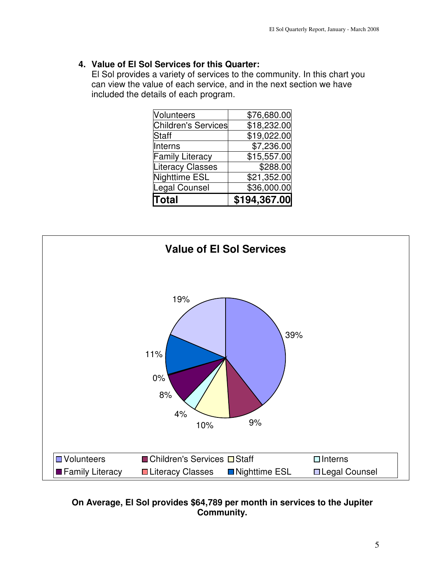# **4. Value of El Sol Services for this Quarter:**

El Sol provides a variety of services to the community. In this chart you can view the value of each service, and in the next section we have included the details of each program.

| <b>Total</b>            | \$194,367.00 |
|-------------------------|--------------|
| Legal Counsel           | \$36,000.00  |
| Nighttime ESL           | \$21,352.00  |
| <b>Literacy Classes</b> | \$288.00     |
| <b>Family Literacy</b>  | \$15,557.00  |
| Interns                 | \$7,236.00   |
| <b>Staff</b>            | \$19,022.00  |
| Children's Services     | \$18,232.00  |
| <b>Nolunteers</b>       | \$76,680.00  |



# **On Average, El Sol provides \$64,789 per month in services to the Jupiter Community.**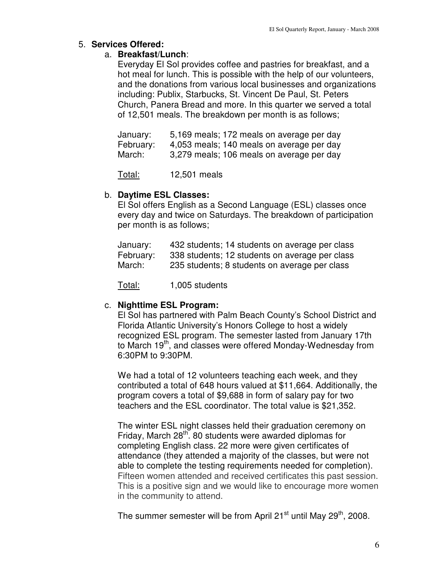# 5. **Services Offered:**

### a. **Breakfast/Lunch**:

Everyday El Sol provides coffee and pastries for breakfast, and a hot meal for lunch. This is possible with the help of our volunteers, and the donations from various local businesses and organizations including: Publix, Starbucks, St. Vincent De Paul, St. Peters Church, Panera Bread and more. In this quarter we served a total of 12,501 meals. The breakdown per month is as follows;

| January:  | 5,169 meals; 172 meals on average per day |
|-----------|-------------------------------------------|
| February: | 4,053 meals; 140 meals on average per day |
| March:    | 3,279 meals; 106 meals on average per day |

Total: 12,501 meals

### b. **Daytime ESL Classes:**

El Sol offers English as a Second Language (ESL) classes once every day and twice on Saturdays. The breakdown of participation per month is as follows;

| January:  | 432 students; 14 students on average per class |
|-----------|------------------------------------------------|
| February: | 338 students; 12 students on average per class |
| March:    | 235 students; 8 students on average per class  |

Total: 1,005 students

# c. **Nighttime ESL Program:**

El Sol has partnered with Palm Beach County's School District and Florida Atlantic University's Honors College to host a widely recognized ESL program. The semester lasted from January 17th to March 19<sup>th</sup>, and classes were offered Monday-Wednesday from 6:30PM to 9:30PM.

We had a total of 12 volunteers teaching each week, and they contributed a total of 648 hours valued at \$11,664. Additionally, the program covers a total of \$9,688 in form of salary pay for two teachers and the ESL coordinator. The total value is \$21,352.

The winter ESL night classes held their graduation ceremony on Friday, March 28<sup>th</sup>. 80 students were awarded diplomas for completing English class. 22 more were given certificates of attendance (they attended a majority of the classes, but were not able to complete the testing requirements needed for completion). Fifteen women attended and received certificates this past session. This is a positive sign and we would like to encourage more women in the community to attend.

The summer semester will be from April 21 $\mathrm{^{st}}$  until May 29 $\mathrm{^{th}}$ , 2008.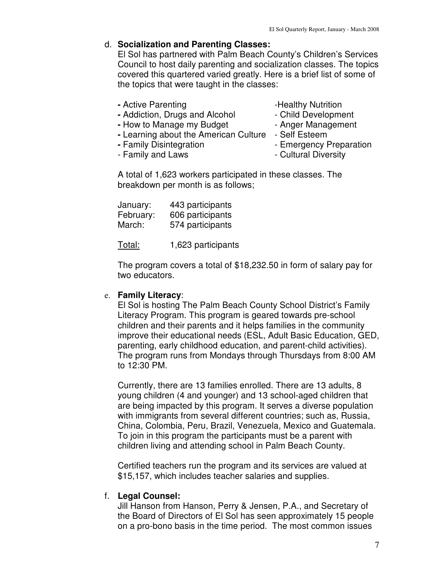#### d. **Socialization and Parenting Classes:**

El Sol has partnered with Palm Beach County's Children's Services Council to host daily parenting and socialization classes. The topics covered this quartered varied greatly. Here is a brief list of some of the topics that were taught in the classes:

- Active Parenting **-Healthy Nutrition**
- 
- Addiction, Drugs and Alcohol Child Development
- How to Manage my Budget Anger Management
- **-** Learning about the American Culture Self Esteem
	-
- **-** Family Disintegration  **Emergency Preparation**
- Family and Laws **Family** and Laws **Family** and Laws
- -

A total of 1,623 workers participated in these classes. The breakdown per month is as follows;

| January:  | 443 participants |
|-----------|------------------|
| February: | 606 participants |
| March:    | 574 participants |

Total: 1,623 participants

The program covers a total of \$18,232.50 in form of salary pay for two educators.

# e. **Family Literacy**:

El Sol is hosting The Palm Beach County School District's Family Literacy Program. This program is geared towards pre-school children and their parents and it helps families in the community improve their educational needs (ESL, Adult Basic Education, GED, parenting, early childhood education, and parent-child activities). The program runs from Mondays through Thursdays from 8:00 AM to 12:30 PM.

Currently, there are 13 families enrolled. There are 13 adults, 8 young children (4 and younger) and 13 school-aged children that are being impacted by this program. It serves a diverse population with immigrants from several different countries; such as, Russia, China, Colombia, Peru, Brazil, Venezuela, Mexico and Guatemala. To join in this program the participants must be a parent with children living and attending school in Palm Beach County.

Certified teachers run the program and its services are valued at \$15,157, which includes teacher salaries and supplies.

# f. **Legal Counsel:**

Jill Hanson from Hanson, Perry & Jensen, P.A., and Secretary of the Board of Directors of El Sol has seen approximately 15 people on a pro-bono basis in the time period. The most common issues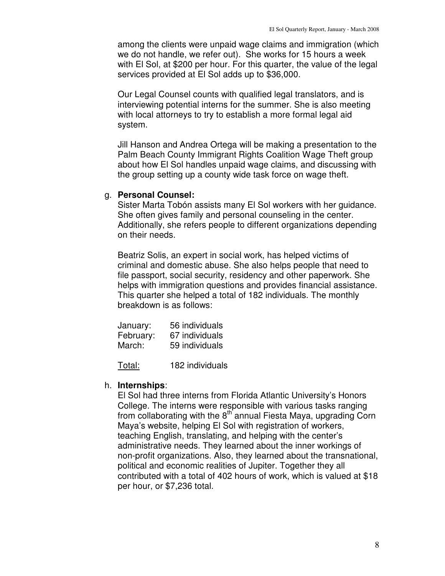among the clients were unpaid wage claims and immigration (which we do not handle, we refer out). She works for 15 hours a week with El Sol, at \$200 per hour. For this quarter, the value of the legal services provided at El Sol adds up to \$36,000.

Our Legal Counsel counts with qualified legal translators, and is interviewing potential interns for the summer. She is also meeting with local attorneys to try to establish a more formal legal aid system.

Jill Hanson and Andrea Ortega will be making a presentation to the Palm Beach County Immigrant Rights Coalition Wage Theft group about how El Sol handles unpaid wage claims, and discussing with the group setting up a county wide task force on wage theft.

#### g. **Personal Counsel:**

Sister Marta Tobón assists many El Sol workers with her guidance. She often gives family and personal counseling in the center. Additionally, she refers people to different organizations depending on their needs.

Beatriz Solis, an expert in social work, has helped victims of criminal and domestic abuse. She also helps people that need to file passport, social security, residency and other paperwork. She helps with immigration questions and provides financial assistance. This quarter she helped a total of 182 individuals. The monthly breakdown is as follows:

| January:  | 56 individuals |
|-----------|----------------|
| February: | 67 individuals |
| March:    | 59 individuals |

Total: 182 individuals

#### h. **Internships**:

El Sol had three interns from Florida Atlantic University's Honors College. The interns were responsible with various tasks ranging from collaborating with the  $8<sup>th</sup>$  annual Fiesta Maya, upgrading Corn Maya's website, helping El Sol with registration of workers, teaching English, translating, and helping with the center's administrative needs. They learned about the inner workings of non-profit organizations. Also, they learned about the transnational, political and economic realities of Jupiter. Together they all contributed with a total of 402 hours of work, which is valued at \$18 per hour, or \$7,236 total.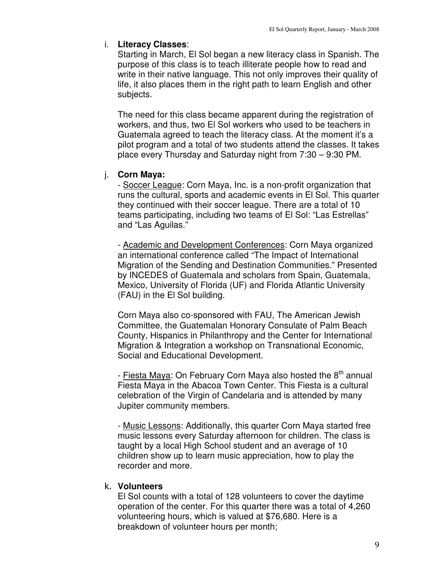# i. **Literacy Classes**:

Starting in March, El Sol began a new literacy class in Spanish. The purpose of this class is to teach illiterate people how to read and write in their native language. This not only improves their quality of life, it also places them in the right path to learn English and other subjects.

The need for this class became apparent during the registration of workers, and thus, two El Sol workers who used to be teachers in Guatemala agreed to teach the literacy class. At the moment it's a pilot program and a total of two students attend the classes. It takes place every Thursday and Saturday night from 7:30 – 9:30 PM.

# j. **Corn Maya:**

- Soccer League: Corn Maya, Inc. is a non-profit organization that runs the cultural, sports and academic events in El Sol. This quarter they continued with their soccer league. There are a total of 10 teams participating, including two teams of El Sol: "Las Estrellas" and "Las Aguilas."

- Academic and Development Conferences: Corn Maya organized an international conference called "The Impact of International Migration of the Sending and Destination Communities." Presented by INCEDES of Guatemala and scholars from Spain, Guatemala, Mexico, University of Florida (UF) and Florida Atlantic University (FAU) in the El Sol building.

Corn Maya also co-sponsored with FAU, The American Jewish Committee, the Guatemalan Honorary Consulate of Palm Beach County, Hispanics in Philanthropy and the Center for International Migration & Integration a workshop on Transnational Economic, Social and Educational Development.

- Fiesta Maya: On February Corn Maya also hosted the  $8<sup>th</sup>$  annual Fiesta Maya in the Abacoa Town Center. This Fiesta is a cultural celebration of the Virgin of Candelaria and is attended by many Jupiter community members.

- Music Lessons: Additionally, this quarter Corn Maya started free music lessons every Saturday afternoon for children. The class is taught by a local High School student and an average of 10 children show up to learn music appreciation, how to play the recorder and more.

# k. **Volunteers**

El Sol counts with a total of 128 volunteers to cover the daytime operation of the center. For this quarter there was a total of 4,260 volunteering hours, which is valued at \$76,680. Here is a breakdown of volunteer hours per month;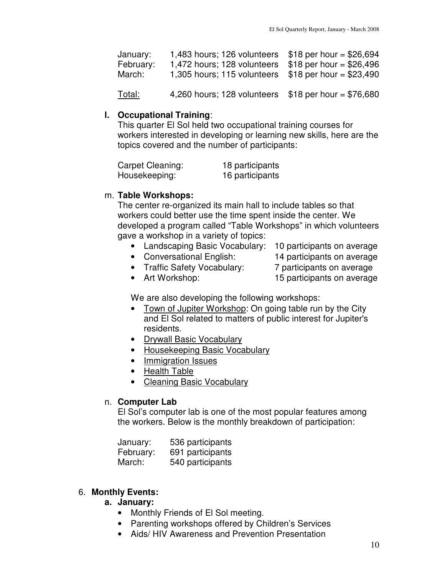| January:<br>February:<br>March: | 1,483 hours; 126 volunteers $$18$ per hour = \$26,694<br>1,472 hours; 128 volunteers<br>1,305 hours; 115 volunteers | $$18$ per hour = \$26,496<br>$$18$ per hour = \$23,490 |
|---------------------------------|---------------------------------------------------------------------------------------------------------------------|--------------------------------------------------------|
| Total:                          | 4,260 hours; 128 volunteers $$18$ per hour = \$76,680                                                               |                                                        |

#### **l. Occupational Training**:

This quarter El Sol held two occupational training courses for workers interested in developing or learning new skills, here are the topics covered and the number of participants:

| Carpet Cleaning: | 18 participants |
|------------------|-----------------|
| Housekeeping:    | 16 participants |

### m. **Table Workshops:**

The center re-organized its main hall to include tables so that workers could better use the time spent inside the center. We developed a program called "Table Workshops" in which volunteers gave a workshop in a variety of topics:

- Landscaping Basic Vocabulary: 10 participants on average
- Conversational English: 14 participants on average
- 
- Traffic Safety Vocabulary: 7 participants on average
	-
- 
- Art Workshop: 15 participants on average

We are also developing the following workshops:

- Town of Jupiter Workshop: On going table run by the City and El Sol related to matters of public interest for Jupiter's residents.
- Drywall Basic Vocabulary
- Housekeeping Basic Vocabulary
- Immigration Issues
- Health Table
- Cleaning Basic Vocabulary

# n. **Computer Lab**

El Sol's computer lab is one of the most popular features among the workers. Below is the monthly breakdown of participation:

| January:  | 536 participants |
|-----------|------------------|
| February: | 691 participants |
| March:    | 540 participants |

# 6. **Monthly Events:**

#### **a. January:**

- Monthly Friends of El Sol meeting.
- Parenting workshops offered by Children's Services
- Aids/ HIV Awareness and Prevention Presentation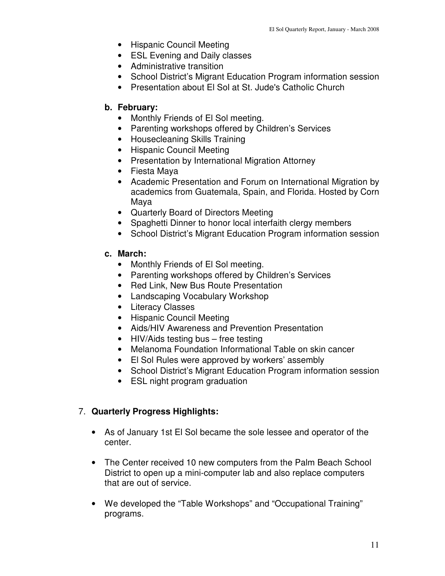- Hispanic Council Meeting
- ESL Evening and Daily classes
- Administrative transition
- School District's Migrant Education Program information session
- Presentation about El Sol at St. Jude's Catholic Church

#### **b. February:**

- Monthly Friends of El Sol meeting.
- Parenting workshops offered by Children's Services
- Housecleaning Skills Training
- Hispanic Council Meeting
- Presentation by International Migration Attorney
- Fiesta Maya
- Academic Presentation and Forum on International Migration by academics from Guatemala, Spain, and Florida. Hosted by Corn Maya
- Quarterly Board of Directors Meeting
- Spaghetti Dinner to honor local interfaith clergy members
- School District's Migrant Education Program information session

#### **c. March:**

- Monthly Friends of El Sol meeting.
- Parenting workshops offered by Children's Services
- Red Link, New Bus Route Presentation
- Landscaping Vocabulary Workshop
- Literacy Classes
- Hispanic Council Meeting
- Aids/HIV Awareness and Prevention Presentation
- HIV/Aids testing bus free testing
- Melanoma Foundation Informational Table on skin cancer
- El Sol Rules were approved by workers' assembly
- School District's Migrant Education Program information session
- ESL night program graduation

# 7. **Quarterly Progress Highlights:**

- As of January 1st El Sol became the sole lessee and operator of the center.
- The Center received 10 new computers from the Palm Beach School District to open up a mini-computer lab and also replace computers that are out of service.
- We developed the "Table Workshops" and "Occupational Training" programs.